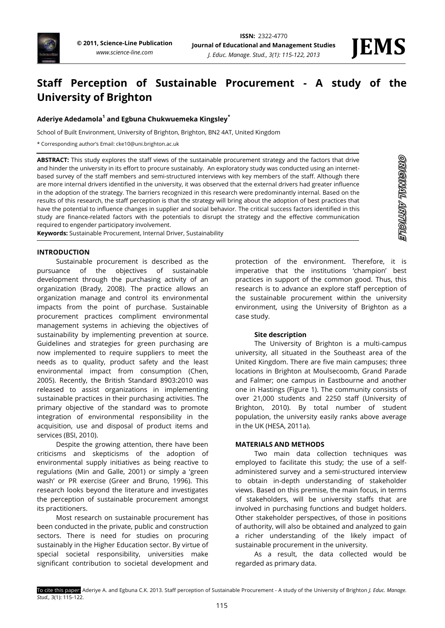# **Staff Perception of Sustainable Procurement - A study of the University of Brighton**

# **Aderiye Adedamola<sup>1</sup> and Egbuna Chukwuemeka Kingsley\***

School of Built Environment, University of Brighton, Brighton, BN2 4AT, United Kingdom

\* Corresponding author's Email: cke10@uni.brighton.ac.uk

**ABSTRACT:** This study explores the staff views of the sustainable procurement strategy and the factors that drive and hinder the university in its effort to procure sustainably. An exploratory study was conducted using an internetbased survey of the staff members and semi-structured interviews with key members of the staff. Although there are more internal drivers identified in the university, it was observed that the external drivers had greater influence in the adoption of the strategy. The barriers recognized in this research were predominantly internal. Based on the results of this research, the staff perception is that the strategy will bring about the adoption of best practices that have the potential to influence changes in supplier and social behavior. The critical success factors identified in this study are finance-related factors with the potentials to disrupt the strategy and the effective communication required to engender participatory involvement.

**Keywords:** Sustainable Procurement, Internal Driver, Sustainability

#### **INTRODUCTION**

Sustainable procurement is described as the pursuance of the objectives of sustainable development through the purchasing activity of an organization (Brady, 2008). The practice allows an organization manage and control its environmental impacts from the point of purchase. Sustainable procurement practices compliment environmental management systems in achieving the objectives of sustainability by implementing prevention at source. Guidelines and strategies for green purchasing are now implemented to require suppliers to meet the needs as to quality, product safety and the least environmental impact from consumption (Chen, 2005). Recently, the British Standard 8903:2010 was released to assist organizations in implementing sustainable practices in their purchasing activities. The primary objective of the standard was to promote integration of environmental responsibility in the acquisition, use and disposal of product items and services (BSI, 2010).

Despite the growing attention, there have been criticisms and skepticisms of the adoption of environmental supply initiatives as being reactive to regulations (Min and Galle, 2001) or simply a 'green wash' or PR exercise (Greer and Bruno, 1996). This research looks beyond the literature and investigates the perception of sustainable procurement amongst its practitioners.

Most research on sustainable procurement has been conducted in the private, public and construction sectors. There is need for studies on procuring sustainably in the Higher Education sector. By virtue of special societal responsibility, universities make significant contribution to societal development and

protection of the environment. Therefore, it is imperative that the institutions 'champion' best practices in support of the common good. Thus, this research is to advance an explore staff perception of the sustainable procurement within the university environment, using the University of Brighton as a case study.

#### **Site description**

The University of Brighton is a multi-campus university, all situated in the Southeast area of the United Kingdom. There are five main campuses; three locations in Brighton at Moulsecoomb, Grand Parade and Falmer; one campus in Eastbourne and another one in Hastings (Figure 1). The community consists of over 21,000 students and 2250 staff (University of Brighton, 2010). By total number of student population, the university easily ranks above average in the UK (HESA, 2011a).

#### **MATERIALS AND METHODS**

Two main data collection techniques was employed to facilitate this study; the use of a selfadministered survey and a semi-structured interview to obtain in-depth understanding of stakeholder views. Based on this premise, the main focus, in terms of stakeholders, will be university staffs that are involved in purchasing functions and budget holders. Other stakeholder perspectives, of those in positions of authority, will also be obtained and analyzed to gain a richer understanding of the likely impact of sustainable procurement in the university.

As a result, the data collected would be regarded as primary data.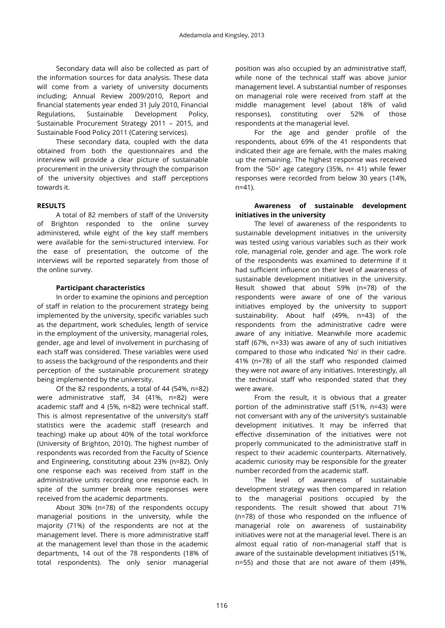Secondary data will also be collected as part of the information sources for data analysis. These data will come from a variety of university documents including; Annual Review 2009/2010, Report and financial statements year ended 31 July 2010, Financial Regulations, Sustainable Development Policy, Sustainable Procurement Strategy 2011 – 2015, and Sustainable Food Policy 2011 (Catering services).

These secondary data, coupled with the data obtained from both the questionnaires and the interview will provide a clear picture of sustainable procurement in the university through the comparison of the university objectives and staff perceptions towards it.

# **RESULTS**

A total of 82 members of staff of the University of Brighton responded to the online survey administered, while eight of the key staff members were available for the semi-structured interview. For the ease of presentation, the outcome of the interviews will be reported separately from those of the online survey.

# **Participant characteristics**

In order to examine the opinions and perception of staff in relation to the procurement strategy being implemented by the university, specific variables such as the department, work schedules, length of service in the employment of the university, managerial roles, gender, age and level of involvement in purchasing of each staff was considered. These variables were used to assess the background of the respondents and their perception of the sustainable procurement strategy being implemented by the university.

Of the 82 respondents, a total of 44 (54%, n=82) were administrative staff, 34 (41%, n=82) were academic staff and 4 (5%, n=82) were technical staff. This is almost representative of the university's staff statistics were the academic staff (research and teaching) make up about 40% of the total workforce (University of Brighton, 2010). The highest number of respondents was recorded from the Faculty of Science and Engineering, constituting about 23% (n=82). Only one response each was received from staff in the administrative units recording one response each. In spite of the summer break more responses were received from the academic departments.

About 30% (n=78) of the respondents occupy managerial positions in the university, while the majority (71%) of the respondents are not at the management level. There is more administrative staff at the management level than those in the academic departments, 14 out of the 78 respondents (18% of total respondents). The only senior managerial

position was also occupied by an administrative staff, while none of the technical staff was above junior management level. A substantial number of responses on managerial role were received from staff at the middle management level (about 18% of valid responses), constituting over 52% of those respondents at the managerial level.

For the age and gender profile of the respondents, about 69% of the 41 respondents that indicated their age are female, with the males making up the remaining. The highest response was received from the '50+' age category (35%, n= 41) while fewer responses were recorded from below 30 years (14%, n=41).

# **Awareness of sustainable development initiatives in the university**

The level of awareness of the respondents to sustainable development initiatives in the university was tested using various variables such as their work role, managerial role, gender and age. The work role of the respondents was examined to determine if it had sufficient influence on their level of awareness of sustainable development initiatives in the university. Result showed that about 59% (n=78) of the respondents were aware of one of the various initiatives employed by the university to support sustainability. About half (49%, n=43) of the respondents from the administrative cadre were aware of any initiative. Meanwhile more academic staff (67%, n=33) was aware of any of such initiatives compared to those who indicated 'No' in their cadre. 41% (n=78) of all the staff who responded claimed they were not aware of any initiatives. Interestingly, all the technical staff who responded stated that they were aware.

From the result, it is obvious that a greater portion of the administrative staff (51%, n=43) were not conversant with any of the university's sustainable development initiatives. It may be inferred that effective dissemination of the initiatives were not properly communicated to the administrative staff in respect to their academic counterparts. Alternatively, academic curiosity may be responsible for the greater number recorded from the academic staff.

The level of awareness of sustainable development strategy was then compared in relation to the managerial positions occupied by the respondents. The result showed that about 71% (n=78) of those who responded on the influence of managerial role on awareness of sustainability initiatives were not at the managerial level. There is an almost equal ratio of non-managerial staff that is aware of the sustainable development initiatives (51%, n=55) and those that are not aware of them (49%,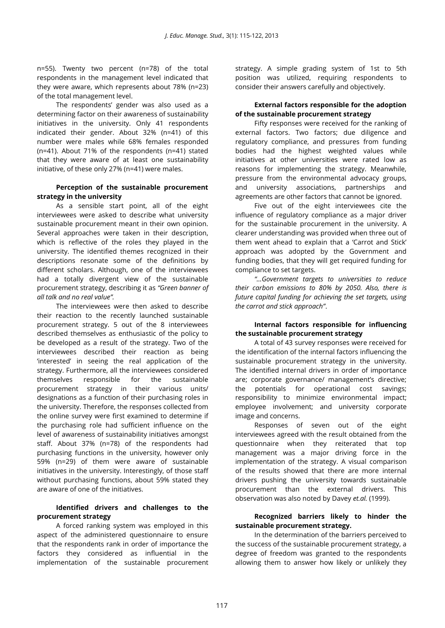n=55). Twenty two percent (n=78) of the total respondents in the management level indicated that they were aware, which represents about 78% (n=23) of the total management level.

The respondents' gender was also used as a determining factor on their awareness of sustainability initiatives in the university. Only 41 respondents indicated their gender. About 32% (n=41) of this number were males while 68% females responded (n=41). About 71% of the respondents (n=41) stated that they were aware of at least one sustainability initiative, of these only 27% (n=41) were males.

## **Perception of the sustainable procurement strategy in the university**

As a sensible start point, all of the eight interviewees were asked to describe what university sustainable procurement meant in their own opinion. Several approaches were taken in their description, which is reflective of the roles they played in the university. The identified themes recognized in their descriptions resonate some of the definitions by different scholars. Although, one of the interviewees had a totally divergent view of the sustainable procurement strategy, describing it as *"Green banner of all talk and no real value".* 

The interviewees were then asked to describe their reaction to the recently launched sustainable procurement strategy. 5 out of the 8 interviewees described themselves as enthusiastic of the policy to be developed as a result of the strategy. Two of the interviewees described their reaction as being 'interested' in seeing the real application of the strategy. Furthermore, all the interviewees considered themselves responsible for the sustainable procurement strategy in their various units/ designations as a function of their purchasing roles in the university. Therefore, the responses collected from the online survey were first examined to determine if the purchasing role had sufficient influence on the level of awareness of sustainability initiatives amongst staff. About 37% (n=78) of the respondents had purchasing functions in the university, however only 59% (n=29) of them were aware of sustainable initiatives in the university. Interestingly, of those staff without purchasing functions, about 59% stated they are aware of one of the initiatives.

# **Identified drivers and challenges to the procurement strategy**

A forced ranking system was employed in this aspect of the administered questionnaire to ensure that the respondents rank in order of importance the factors they considered as influential in the implementation of the sustainable procurement strategy. A simple grading system of 1st to 5th position was utilized, requiring respondents to consider their answers carefully and objectively.

#### **External factors responsible for the adoption of the sustainable procurement strategy**

Fifty responses were received for the ranking of external factors. Two factors; due diligence and regulatory compliance, and pressures from funding bodies had the highest weighted values while initiatives at other universities were rated low as reasons for implementing the strategy. Meanwhile, pressure from the environmental advocacy groups, and university associations, partnerships and agreements are other factors that cannot be ignored.

Five out of the eight interviewees cite the influence of regulatory compliance as a major driver for the sustainable procurement in the university. A clearer understanding was provided when three out of them went ahead to explain that a 'Carrot and Stick' approach was adopted by the Government and funding bodies, that they will get required funding for compliance to set targets.

*"…Government targets to universities to reduce their carbon emissions to 80% by 2050. Also, there is future capital funding for achieving the set targets, using the carrot and stick approach"*.

# **Internal factors responsible for influencing the sustainable procurement strategy**

A total of 43 survey responses were received for the identification of the internal factors influencing the sustainable procurement strategy in the university. The identified internal drivers in order of importance are; corporate governance/ management's directive; the potentials for operational cost savings; responsibility to minimize environmental impact; employee involvement; and university corporate image and concerns.

Responses of seven out of the eight interviewees agreed with the result obtained from the questionnaire when they reiterated that top management was a major driving force in the implementation of the strategy. A visual comparison of the results showed that there are more internal drivers pushing the university towards sustainable procurement than the external drivers. This observation was also noted by Davey *et.al.* (1999).

# **Recognized barriers likely to hinder the sustainable procurement strategy.**

In the determination of the barriers perceived to the success of the sustainable procurement strategy, a degree of freedom was granted to the respondents allowing them to answer how likely or unlikely they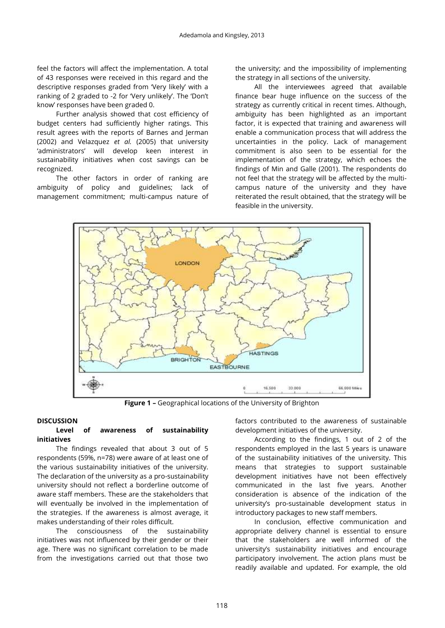feel the factors will affect the implementation. A total of 43 responses were received in this regard and the descriptive responses graded from 'Very likely' with a ranking of 2 graded to -2 for 'Very unlikely'. The 'Don't know' responses have been graded 0.

Further analysis showed that cost efficiency of budget centers had sufficiently higher ratings. This result agrees with the reports of Barnes and Jerman (2002) and Velazquez *et al.* (2005) that university 'administrators' will develop keen interest in sustainability initiatives when cost savings can be recognized.

The other factors in order of ranking are ambiguity of policy and guidelines; lack of management commitment; multi-campus nature of the university; and the impossibility of implementing the strategy in all sections of the university.

All the interviewees agreed that available finance bear huge influence on the success of the strategy as currently critical in recent times. Although, ambiguity has been highlighted as an important factor, it is expected that training and awareness will enable a communication process that will address the uncertainties in the policy. Lack of management commitment is also seen to be essential for the implementation of the strategy, which echoes the findings of Min and Galle (2001). The respondents do not feel that the strategy will be affected by the multicampus nature of the university and they have reiterated the result obtained, that the strategy will be feasible in the university.



**Figure 1 –** Geographical locations of the University of Brighton

# **DISCUSSION**

# **Level of awareness of sustainability initiatives**

The findings revealed that about 3 out of 5 respondents (59%, n=78) were aware of at least one of the various sustainability initiatives of the university. The declaration of the university as a pro-sustainability university should not reflect a borderline outcome of aware staff members. These are the stakeholders that will eventually be involved in the implementation of the strategies. If the awareness is almost average, it makes understanding of their roles difficult.

The consciousness of the sustainability initiatives was not influenced by their gender or their age. There was no significant correlation to be made from the investigations carried out that those two

factors contributed to the awareness of sustainable development initiatives of the university.

According to the findings, 1 out of 2 of the respondents employed in the last 5 years is unaware of the sustainability initiatives of the university. This means that strategies to support sustainable development initiatives have not been effectively communicated in the last five years. Another consideration is absence of the indication of the university's pro-sustainable development status in introductory packages to new staff members.

In conclusion, effective communication and appropriate delivery channel is essential to ensure that the stakeholders are well informed of the university's sustainability initiatives and encourage participatory involvement. The action plans must be readily available and updated. For example, the old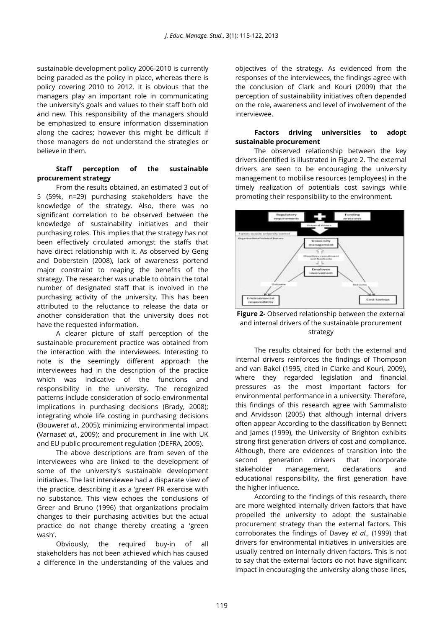sustainable development policy 2006-2010 is currently being paraded as the policy in place, whereas there is policy covering 2010 to 2012. It is obvious that the managers play an important role in communicating the university's goals and values to their staff both old and new. This responsibility of the managers should be emphasized to ensure information dissemination along the cadres; however this might be difficult if those managers do not understand the strategies or believe in them.

#### **Staff perception of the sustainable procurement strategy**

From the results obtained, an estimated 3 out of 5 (59%, n=29) purchasing stakeholders have the knowledge of the strategy. Also, there was no significant correlation to be observed between the knowledge of sustainability initiatives and their purchasing roles. This implies that the strategy has not been effectively circulated amongst the staffs that have direct relationship with it. As observed by Geng and Doberstein (2008), lack of awareness portend major constraint to reaping the benefits of the strategy. The researcher was unable to obtain the total number of designated staff that is involved in the purchasing activity of the university. This has been attributed to the reluctance to release the data or another consideration that the university does not have the requested information.

A clearer picture of staff perception of the sustainable procurement practice was obtained from the interaction with the interviewees. Interesting to note is the seemingly different approach the interviewees had in the description of the practice which was indicative of the functions and responsibility in the university. The recognized patterns include consideration of socio-environmental implications in purchasing decisions (Brady, 2008); integrating whole life costing in purchasing decisions (Bouwer*et al.*, 2005); minimizing environmental impact (Varnas*et al.*, 2009); and procurement in line with UK and EU public procurement regulation (DEFRA, 2005).

The above descriptions are from seven of the interviewees who are linked to the development of some of the university's sustainable development initiatives. The last interviewee had a disparate view of the practice, describing it as a 'green' PR exercise with no substance. This view echoes the conclusions of Greer and Bruno (1996) that organizations proclaim changes to their purchasing activities but the actual practice do not change thereby creating a 'green wash'.

Obviously, the required buy-in of all stakeholders has not been achieved which has caused a difference in the understanding of the values and objectives of the strategy. As evidenced from the responses of the interviewees, the findings agree with the conclusion of Clark and Kouri (2009) that the perception of sustainability initiatives often depended on the role, awareness and level of involvement of the interviewee.

#### **Factors driving universities to adopt sustainable procurement**

The observed relationship between the key drivers identified is illustrated in Figure 2. The external drivers are seen to be encouraging the university management to mobilise resources (employees) in the timely realization of potentials cost savings while promoting their responsibility to the environment.



**Figure 2-** Observed relationship between the external and internal drivers of the sustainable procurement strategy

The results obtained for both the external and internal drivers reinforces the findings of Thompson and van Bakel (1995, cited in Clarke and Kouri, 2009), where they regarded legislation and financial pressures as the most important factors for environmental performance in a university. Therefore, this findings of this research agree with Sammalisto and Arvidsson (2005) that although internal drivers often appear According to the classification by Bennett and James (1999), the University of Brighton exhibits strong first generation drivers of cost and compliance. Although, there are evidences of transition into the second generation drivers that incorporate stakeholder management, declarations and educational responsibility, the first generation have the higher influence.

According to the findings of this research, there are more weighted internally driven factors that have propelled the university to adopt the sustainable procurement strategy than the external factors. This corroborates the findings of Davey *et al.*, (1999) that drivers for environmental initiatives in universities are usually centred on internally driven factors. This is not to say that the external factors do not have significant impact in encouraging the university along those lines,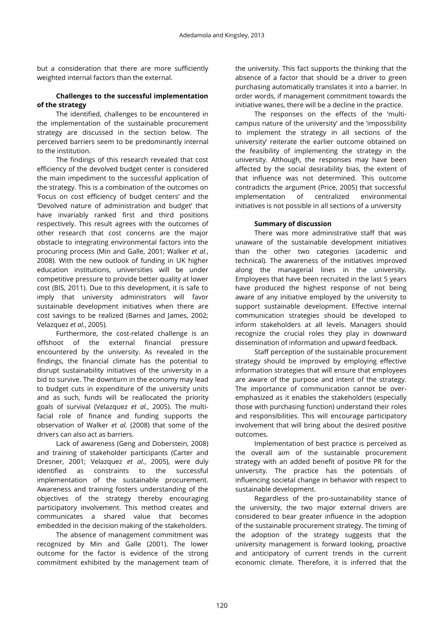but a consideration that there are more sufficiently weighted internal factors than the external.

# **Challenges to the successful implementation of the strategy**

The identified, challenges to be encountered in the implementation of the sustainable procurement strategy are discussed in the section below. The perceived barriers seem to be predominantly internal to the institution.

The findings of this research revealed that cost efficiency of the devolved budget center is considered the main impediment to the successful application of the strategy. This is a combination of the outcomes on 'Focus on cost efficiency of budget centers' and the 'Devolved nature of administration and budget' that have invariably ranked first and third positions respectively. This result agrees with the outcomes of other research that cost concerns are the major obstacle to integrating environmental factors into the procuring process (Min and Galle, 2001; Walker *et al.*, 2008). With the new outlook of funding in UK higher education institutions, universities will be under competitive pressure to provide better quality at lower cost (BIS, 2011). Due to this development, it is safe to imply that university administrators will favor sustainable development initiatives when there are cost savings to be realized (Barnes and James, 2002; Velazquez *et al.*, 2005).

Furthermore, the cost-related challenge is an offshoot of the external financial pressure encountered by the university. As revealed in the findings, the financial climate has the potential to disrupt sustainability initiatives of the university in a bid to survive. The downturn in the economy may lead to budget cuts in expenditure of the university units and as such, funds will be reallocated the priority goals of survival (Velazquez *et al.*, 2005). The multifacial role of finance and funding supports the observation of Walker *et al.* (2008) that some of the drivers can also act as barriers.

Lack of awareness (Geng and Doberstein, 2008) and training of stakeholder participants (Carter and Dresner, 2001; Velazquez *et al.*, 2005), were duly identified as constraints to the successful implementation of the sustainable procurement. Awareness and training fosters understanding of the objectives of the strategy thereby encouraging participatory involvement. This method creates and communicates a shared value that becomes embedded in the decision making of the stakeholders.

The absence of management commitment was recognized by Min and Galle (2001). The lower outcome for the factor is evidence of the strong commitment exhibited by the management team of the university. This fact supports the thinking that the absence of a factor that should be a driver to green purchasing automatically translates it into a barrier. In order words, if management commitment towards the initiative wanes, there will be a decline in the practice.

The responses on the effects of the 'multicampus nature of the university' and the 'impossibility to implement the strategy in all sections of the university' reiterate the earlier outcome obtained on the feasibility of implementing the strategy in the university. Although, the responses may have been affected by the social desirability bias, the extent of that influence was not determined. This outcome contradicts the argument (Price, 2005) that successful implementation of centralized environmental initiatives is not possible in all sections of a university

#### **Summary of discussion**

There was more administrative staff that was unaware of the sustainable development initiatives than the other two categories (academic and technical). The awareness of the initiatives improved along the managerial lines in the university. Employees that have been recruited in the last 5 years have produced the highest response of not being aware of any initiative employed by the university to support sustainable development. Effective internal communication strategies should be developed to inform stakeholders at all levels. Managers should recognize the crucial roles they play in downward dissemination of information and upward feedback.

Staff perception of the sustainable procurement strategy should be improved by employing effective information strategies that will ensure that employees are aware of the purpose and intent of the strategy. The importance of communication cannot be overemphasized as it enables the stakeholders (especially those with purchasing function) understand their roles and responsibilities. This will encourage participatory involvement that will bring about the desired positive outcomes.

Implementation of best practice is perceived as the overall aim of the sustainable procurement strategy with an added benefit of positive PR for the university. The practice has the potentials of influencing societal change in behavior with respect to sustainable development.

Regardless of the pro-sustainability stance of the university, the two major external drivers are considered to bear greater influence in the adoption of the sustainable procurement strategy. The timing of the adoption of the strategy suggests that the university management is forward looking, proactive and anticipatory of current trends in the current economic climate. Therefore, it is inferred that the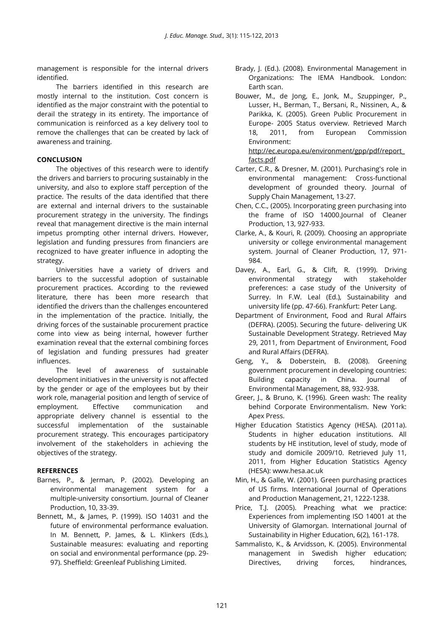management is responsible for the internal drivers identified.

The barriers identified in this research are mostly internal to the institution. Cost concern is identified as the major constraint with the potential to derail the strategy in its entirety. The importance of communication is reinforced as a key delivery tool to remove the challenges that can be created by lack of awareness and training.

# **CONCLUSION**

The objectives of this research were to identify the drivers and barriers to procuring sustainably in the university, and also to explore staff perception of the practice. The results of the data identified that there are external and internal drivers to the sustainable procurement strategy in the university. The findings reveal that management directive is the main internal impetus prompting other internal drivers. However, legislation and funding pressures from financiers are recognized to have greater influence in adopting the strategy.

Universities have a variety of drivers and barriers to the successful adoption of sustainable procurement practices. According to the reviewed literature, there has been more research that identified the drivers than the challenges encountered in the implementation of the practice. Initially, the driving forces of the sustainable procurement practice come into view as being internal, however further examination reveal that the external combining forces of legislation and funding pressures had greater influences.

The level of awareness of sustainable development initiatives in the university is not affected by the gender or age of the employees but by their work role, managerial position and length of service of employment. Effective communication and appropriate delivery channel is essential to the successful implementation of the sustainable procurement strategy. This encourages participatory involvement of the stakeholders in achieving the objectives of the strategy.

# **REFERENCES**

- Barnes, P., & Jerman, P. (2002). Developing an environmental management system for a multiple-university consortium. Journal of Cleaner Production, 10, 33-39.
- Bennett, M., & James, P. (1999). ISO 14031 and the future of environmental performance evaluation. In M. Bennett, P. James, & L. Klinkers (Eds.), Sustainable measures: evaluating and reporting on social and environmental performance (pp. 29- 97). Sheffield: Greenleaf Publishing Limited.
- Brady, J. (Ed.). (2008). Environmental Management in Organizations: The IEMA Handbook. London: Earth scan.
- Bouwer, M., de Jong, E., Jonk, M., Szuppinger, P., Lusser, H., Berman, T., Bersani, R., Nissinen, A., & Parikka, K. (2005). Green Public Procurement in Europe- 2005 Status overview. Retrieved March 18, 2011, from European Commission Environment: [http://ec.europa.eu/environment/gpp/pdf/report\\_](http://ec.europa.eu/environment/gpp/pdf/report_facts.pdf) [facts.pdf](http://ec.europa.eu/environment/gpp/pdf/report_facts.pdf)
- Carter, C.R., & Dresner, M. (2001). Purchasing's role in environmental management: Cross-functional development of grounded theory. Journal of Supply Chain Management, 13-27.
- Chen, C.C., (2005). Incorporating green purchasing into the frame of ISO 14000.Journal of Cleaner Production, 13, 927-933.
- Clarke, A., & Kouri, R. (2009). Choosing an appropriate university or college environmental management system. Journal of Cleaner Production, 17, 971- 984.
- Davey, A., Earl, G., & Clift, R. (1999). Driving environmental strategy with stakeholder preferences: a case study of the University of Surrey. In F.W. Leal (Ed.), Sustainability and university life (pp. 47-66). Frankfurt: Peter Lang.
- Department of Environment, Food and Rural Affairs (DEFRA). (2005). Securing the future- delivering UK Sustainable Development Strategy. Retrieved May 29, 2011, from Department of Environment, Food and Rural Affairs (DEFRA).
- Geng, Y., & Doberstein, B. (2008). Greening government procurement in developing countries: Building capacity in China. Journal of Environmental Management, 88, 932-938.
- Greer, J., & Bruno, K. (1996). Green wash: The reality behind Corporate Environmentalism. New York: Apex Press.
- Higher Education Statistics Agency (HESA). (2011a). Students in higher education institutions. All students by HE institution, level of study, mode of study and domicile 2009/10. Retrieved July 11, 2011, from Higher Education Statistics Agency (HESA): www.hesa.ac.uk
- Min, H., & Galle, W. (2001). Green purchasing practices of US firms. International Journal of Operations and Production Management, 21, 1222-1238.
- Price, T.J. (2005). Preaching what we practice: Experiences from implementing ISO 14001 at the University of Glamorgan. International Journal of Sustainability in Higher Education, 6(2), 161-178.
- Sammalisto, K., & Arvidsson, K. (2005). Environmental management in Swedish higher education; Directives, driving forces, hindrances,